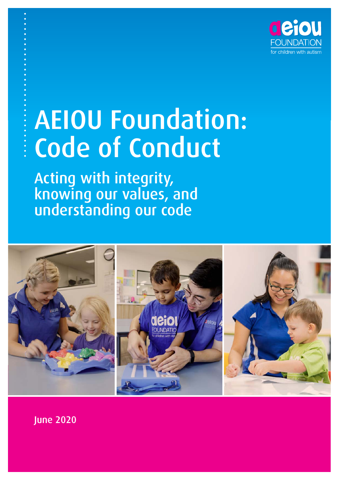

# AEIOU Foundation: Code of Conduct

Acting with integrity, knowing our values, and understanding our code



June 2020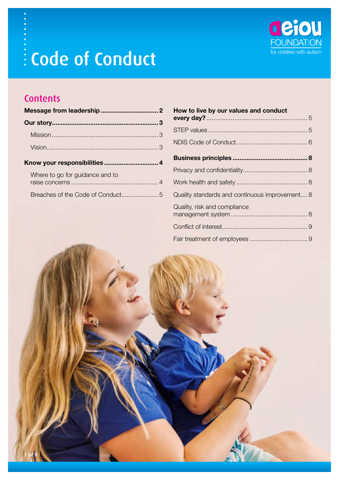

## **Contents**

| Know your responsibilities  4   |  |
|---------------------------------|--|
| Where to go for guidance and to |  |
|                                 |  |

| How to live by our values and conduct          |  |
|------------------------------------------------|--|
|                                                |  |
|                                                |  |
|                                                |  |
|                                                |  |
|                                                |  |
|                                                |  |
| Quality standards and continuous improvement 8 |  |
| Quality, risk and compliance                   |  |
|                                                |  |
|                                                |  |

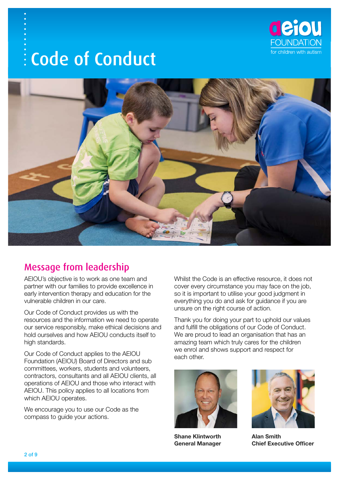



## Message from leadership

AEIOU's objective is to work as one team and partner with our families to provide excellence in early intervention therapy and education for the vulnerable children in our care.

Our Code of Conduct provides us with the resources and the information we need to operate our service responsibly, make ethical decisions and hold ourselves and how AEIOU conducts itself to high standards.

Our Code of Conduct applies to the AEIOU Foundation (AEIOU) Board of Directors and sub committees, workers, students and volunteers, contractors, consultants and all AEIOU clients, all operations of AEIOU and those who interact with AEIOU. This policy applies to all locations from which AEIOU operates.

We encourage you to use our Code as the compass to guide your actions.

Whilst the Code is an effective resource, it does not cover every circumstance you may face on the job, so it is important to utilise your good judgment in everything you do and ask for guidance if you are unsure on the right course of action.

Thank you for doing your part to uphold our values and fulfill the obligations of our Code of Conduct. We are proud to lead an organisation that has an amazing team which truly cares for the children we enrol and shows support and respect for each other.



**Shane Klintworth General Manager**



**Alan Smith Chief Executive Officer**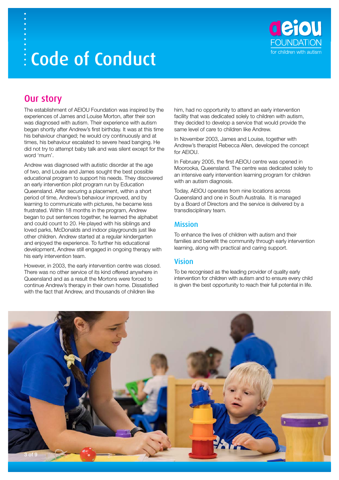

## Our story

The establishment of AEIOU Foundation was inspired by the experiences of James and Louise Morton, after their son was diagnosed with autism. Their experience with autism began shortly after Andrew's first birthday. It was at this time his behaviour changed; he would cry continuously and at times, his behaviour escalated to severe head banging. He did not try to attempt baby talk and was silent except for the word 'mum'.

Andrew was diagnosed with autistic disorder at the age of two, and Louise and James sought the best possible educational program to support his needs. They discovered an early intervention pilot program run by Education Queensland. After securing a placement, within a short period of time, Andrew's behaviour improved, and by learning to communicate with pictures, he became less frustrated. Within 18 months in the program, Andrew began to put sentences together, he learned the alphabet and could count to 20. He played with his siblings and loved parks, McDonalds and indoor playgrounds just like other children. Andrew started at a regular kindergarten and enjoyed the experience. To further his educational development, Andrew still engaged in ongoing therapy with his early intervention team.

However, in 2003, the early intervention centre was closed. There was no other service of its kind offered anywhere in Queensland and as a result the Mortons were forced to continue Andrew's therapy in their own home. Dissatisfied with the fact that Andrew, and thousands of children like

him, had no opportunity to attend an early intervention facility that was dedicated solely to children with autism, they decided to develop a service that would provide the same level of care to children like Andrew.

In November 2003, James and Louise, together with Andrew's therapist Rebecca Allen, developed the concept for AEIOU.

In February 2005, the first AEIOU centre was opened in Moorooka, Queensland. The centre was dedicated solely to an intensive early intervention learning program for children with an autism diagnosis.

Today, AEIOU operates from nine locations across Queensland and one in South Australia. It is managed by a Board of Directors and the service is delivered by a transdisciplinary team.

### Mission

To enhance the lives of children with autism and their families and benefit the community through early intervention learning, along with practical and caring support.

### Vision

To be recognised as the leading provider of quality early intervention for children with autism and to ensure every child is given the best opportunity to reach their full potential in life.

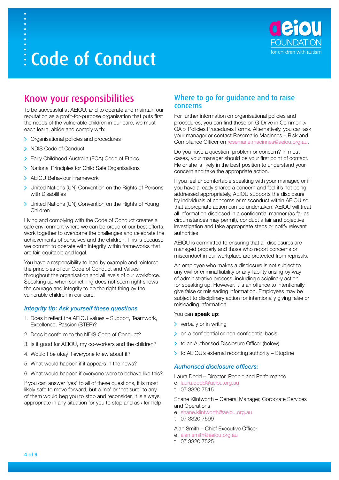

## Know your responsibilities

To be successful at AEIOU, and to operate and maintain our reputation as a profit-for-purpose organisation that puts first the needs of the vulnerable children in our care, we must each learn, abide and comply with:

- > Organisational policies and procedures
- > NDIS Code of Conduct
- > Early Childhood Australia (ECA) Code of Ethics
- > National Principles for Child Safe Organisations
- > AEIOU Behaviour Framework
- > United Nations (UN) Convention on the Rights of Persons with Disabilities
- > United Nations (UN) Convention on the Rights of Young Children

Living and complying with the Code of Conduct creates a safe environment where we can be proud of our best efforts, work together to overcome the challenges and celebrate the achievements of ourselves and the children. This is because we commit to operate with integrity within frameworks that are fair, equitable and legal.

You have a responsibility to lead by example and reinforce the principles of our Code of Conduct and Values throughout the organisation and all levels of our workforce. Speaking up when something does not seem right shows the courage and integrity to do the right thing by the vulnerable children in our care.

#### *Integrity tip: Ask yourself these questions*

- 1. Does it reflect the AEIOU values Support, Teamwork, Excellence, Passion (STEP)?
- 2. Does it conform to the NDIS Code of Conduct?
- 3. Is it good for AEIOU, my co-workers and the children?
- 4. Would I be okay if everyone knew about it?
- 5. What would happen if it appears in the news?
- 6. What would happen if everyone were to behave like this?

If you can answer 'yes' to all of these questions, it is most likely safe to move forward, but a 'no' or 'not sure' to any of them would beg you to stop and reconsider. It is always appropriate in any situation for you to stop and ask for help.

#### Where to go for guidance and to raise concerns

For further information on organisational policies and procedures, you can find these on G-Drive in Common > QA > Policies Procedures Forms. Alternatively, you can ask your manager or contact Rosemarie MacInnes – Risk and Compliance Officer on [rosemarie.macinnes@aeiou.org.au](mailto:rosemarie.macinnes@aeiou.org.au).

Do you have a question, problem or concern? In most cases, your manager should be your first point of contact. He or she is likely in the best position to understand your concern and take the appropriate action.

If you feel uncomfortable speaking with your manager, or if you have already shared a concern and feel it's not being addressed appropriately, AEIOU supports the disclosure by individuals of concerns or misconduct within AEIOU so that appropriate action can be undertaken. AEIOU will treat all information disclosed in a confidential manner (as far as circumstances may permit), conduct a fair and objective investigation and take appropriate steps or notify relevant authorities.

AEIOU is committed to ensuring that all disclosures are managed properly and those who report concerns or misconduct in our workplace are protected from reprisals.

An employee who makes a disclosure is not subject to any civil or criminal liability or any liability arising by way of administrative process, including disciplinary action for speaking up. However, it is an offence to intentionally give false or misleading information. Employees may be subject to disciplinary action for intentionally giving false or misleading information.

#### You can **speak up**:

- $\triangleright$  verbally or in writing
- > on a confidential or non-confidential basis
- > to an Authorised Disclosure Officer (below)
- $\triangleright$  to AEIOU's external reporting authority Stopline

#### *Authorised disclosure officers:*

Laura Dodd – Director, People and Performance

- e laura.dodd@aeiou.org.au
- t 07 3320 7515

Shane Klintworth – General Manager, Corporate Services and Operations

- e shane.klintworth@aeiou.org.au
- t 07 3320 7599

Alan Smith – Chief Executive Officer

- e [alan.smith@aeiou.org.au](mailto:alan.smith@aeiou.org.au)
- t 07 3320 7525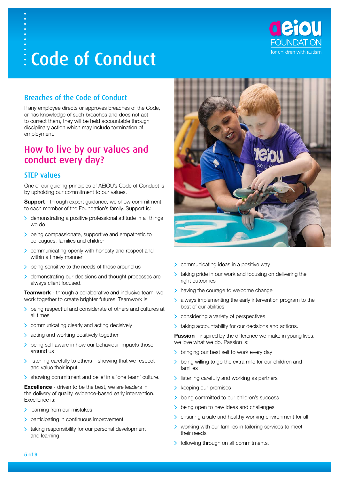

## Breaches of the Code of Conduct

If any employee directs or approves breaches of the Code, or has knowledge of such breaches and does not act to correct them, they will be held accountable through disciplinary action which may include termination of employment.

## How to live by our values and conduct every day?

### STEP values

One of our guiding principles of AEIOU's Code of Conduct is by upholding our commitment to our values.

**Support** - through expert guidance, we show commitment to each member of the Foundation's family. Support is:

- demonstrating a positive professional attitude in all things  $\rightarrow$ we do
- being compassionate, supportive and empathetic to colleagues, families and children
- communicating openly with honesty and respect and within a timely manner
- being sensitive to the needs of those around us
- > demonstrating our decisions and thought processes are always client focused.

**Teamwork** - through a collaborative and inclusive team, we work together to create brighter futures. Teamwork is:

- being respectful and considerate of others and cultures at all times
- > communicating clearly and acting decisively
- > acting and working positively together
- > being self-aware in how our behaviour impacts those around us
- $\geq$  listening carefully to others showing that we respect and value their input
- > showing commitment and belief in a 'one team' culture.

**Excellence** - driven to be the best, we are leaders in the delivery of quality, evidence-based early intervention. Excellence is:

- > learning from our mistakes
- > participating in continuous improvement
- > taking responsibility for our personal development and learning



- > communicating ideas in a positive way
- taking pride in our work and focusing on delivering the right outcomes
- $\geq$  having the courage to welcome change
- always implementing the early intervention program to the best of our abilities
- **>** considering a variety of perspectives
- > taking accountability for our decisions and actions.

**Passion** - inspired by the difference we make in young lives, we love what we do. Passion is:

- > bringing our best self to work every day
- being willing to go the extra mile for our children and families
- $\geq$  listening carefully and working as partners
- > keeping our promises
- being committed to our children's success
- being open to new ideas and challenges
- ensuring a safe and healthy working environment for all
- > working with our families in tailoring services to meet their needs
- > following through on all commitments.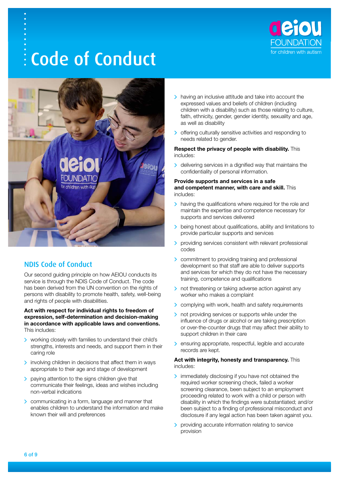



## NDIS Code of Conduct

Our second guiding principle on how AEIOU conducts its service is through the NDIS Code of Conduct. The code has been derived from the UN convention on the rights of persons with disability to promote health, safety, well-being and rights of people with disabilities.

**Act with respect for individual rights to freedom of expression, self-determination and decision-making in accordance with applicable laws and conventions.** This includes:

- working closely with families to understand their child's strengths, interests and needs, and support them in their caring role
- $\triangleright$  involving children in decisions that affect them in ways appropriate to their age and stage of development
- $\geq$  paying attention to the signs children give that communicate their feelings, ideas and wishes including non-verbal indications
- **Communicating in a form, language and manner that** enables children to understand the information and make known their will and preferences
- > having an inclusive attitude and take into account the expressed values and beliefs of children (including children with a disability) such as those relating to culture, faith, ethnicity, gender, gender identity, sexuality and age, as well as disability
- offering culturally sensitive activities and responding to needs related to gender.

#### **Respect the privacy of people with disability.** This includes:

> delivering services in a dignified way that maintains the confidentiality of personal information.

#### **Provide supports and services in a safe and competent manner, with care and skill.** This includes:

- > having the qualifications where required for the role and maintain the expertise and competence necessary for supports and services delivered
- > being honest about qualifications, ability and limitations to provide particular supports and services
- > providing services consistent with relevant professional codes
- > commitment to providing training and professional development so that staff are able to deliver supports and services for which they do not have the necessary training, competence and qualifications
- > not threatening or taking adverse action against any worker who makes a complaint
- > complying with work, health and safety requirements
- > not providing services or supports while under the influence of drugs or alcohol or are taking prescription or over-the-counter drugs that may affect their ability to support children in their care
- > ensuring appropriate, respectful, legible and accurate records are kept.

#### **Act with integrity, honesty and transparency.** This includes:

- immediately disclosing if you have not obtained the required worker screening check, failed a worker screening clearance, been subject to an employment proceeding related to work with a child or person with disability in which the findings were substantiated; and/or been subject to a finding of professional misconduct and disclosure if any legal action has been taken against you.
- **>** providing accurate information relating to service provision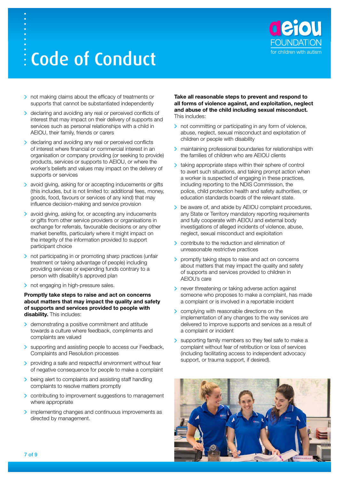

- > not making claims about the efficacy of treatments or supports that cannot be substantiated independently
- > declaring and avoiding any real or perceived conflicts of interest that may impact on their delivery of supports and services such as personal relationships with a child in AEIOU, their family, friends or carers
- b declaring and avoiding any real or perceived conflicts of interest where financial or commercial interest in an organisation or company providing (or seeking to provide) products, services or supports to AEIOU, or where the worker's beliefs and values may impact on the delivery of supports or services
- avoid giving, asking for or accepting inducements or gifts (this includes, but is not limited to: additional fees, money, goods, food, favours or services of any kind) that may influence decision-making and service provision
- > avoid giving, asking for, or accepting any inducements or gifts from other service providers or organisations in exchange for referrals, favourable decisions or any other market benefits, particularly where it might impact on the integrity of the information provided to support participant choice
- > not participating in or promoting sharp practices (unfair treatment or taking advantage of people) including providing services or expending funds contrary to a person with disability's approved plan
- > not engaging in high-pressure sales.

#### **Promptly take steps to raise and act on concerns about matters that may impact the quality and safety of supports and services provided to people with disability.** This includes:

- > demonstrating a positive commitment and attitude towards a culture where feedback, compliments and complaints are valued
- > supporting and assisting people to access our Feedback, Complaints and Resolution processes
- > providing a safe and respectful environment without fear of negative consequence for people to make a complaint
- $\triangleright$  being alert to complaints and assisting staff handling complaints to resolve matters promptly
- > contributing to improvement suggestions to management where appropriate
- > implementing changes and continuous improvements as directed by management.

#### **Take all reasonable steps to prevent and respond to all forms of violence against, and exploitation, neglect and abuse of the child including sexual misconduct.** This includes:

- > not committing or participating in any form of violence, abuse, neglect, sexual misconduct and exploitation of children or people with disability
- maintaining professional boundaries for relationships with the families of children who are AEIOU clients
- > taking appropriate steps within their sphere of control to avert such situations, and taking prompt action when a worker is suspected of engaging in these practices, including reporting to the NDIS Commission, the police, child protection health and safety authorities, or education standards boards of the relevant state.
- > be aware of, and abide by AEIOU complaint procedures, any State or Territory mandatory reporting requirements and fully cooperate with AEIOU and external body investigations of alleged incidents of violence, abuse, neglect, sexual misconduct and exploitation
- contribute to the reduction and elimination of unreasonable restrictive practices
- **D** promptly taking steps to raise and act on concerns about matters that may impact the quality and safety of supports and services provided to children in AFIOU's care
- > never threatening or taking adverse action against someone who proposes to make a complaint, has made a complaint or is involved in a reportable incident
- **>** complying with reasonable directions on the implementation of any changes to the way services are delivered to improve supports and services as a result of a complaint or incident
- Supporting family members so they feel safe to make a complaint without fear of retribution or loss of services (including facilitating access to independent advocacy support, or trauma support, if desired).

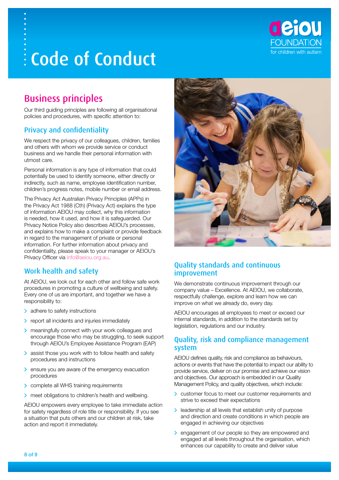

## Business principles

Our third guiding principles are following all organisational policies and procedures, with specific attention to:

## Privacy and confidentiality

We respect the privacy of our colleagues, children, families and others with whom we provide service or conduct business and we handle their personal information with utmost care.

Personal information is any type of information that could potentially be used to identify someone, either directly or indirectly, such as name, employee identification number, children's progress notes, mobile number or email address.

The Privacy Act Australian Privacy Principles (APPs) in the Privacy Act 1988 (Cth) (Privacy Act) explains the type of information AEIOU may collect, why this information is needed, how it used, and how it is safeguarded. Our Privacy Notice Policy also describes AEIOU's processes, and explains how to make a complaint or provide feedback in regard to the management of private or personal information. For further information about privacy and confidentiality, please speak to your manager or AEIOU's Privacy Officer via [info@aeiou.org.au.](mailto:info@aeiou.org.au)

## Work health and safety

At AEIOU, we look out for each other and follow safe work procedures in promoting a culture of wellbeing and safety. Every one of us are important, and together we have a responsibility to:

- > adhere to safety instructions
- > report all incidents and injuries immediately
- > meaningfully connect with your work colleagues and encourage those who may be struggling, to seek support through AEIOU's Employee Assistance Program (EAP)
- > assist those you work with to follow health and safety procedures and instructions
- > ensure you are aware of the emergency evacuation procedures
- > complete all WHS training requirements
- > meet obligations to children's health and wellbeing.

AEIOU empowers every employee to take immediate action for safety regardless of role title or responsibility. If you see a situation that puts others and our children at risk, take action and report it immediately.



### Quality standards and continuous improvement

We demonstrate continuous improvement through our company value – Excellence. At AEIOU, we collaborate, respectfully challenge, explore and learn how we can improve on what we already do, every day.

AEIOU encourages all employees to meet or exceed our internal standards, in addition to the standards set by legislation, regulations and our industry.

#### Quality, risk and compliance management system

AEIOU defines quality, risk and compliance as behaviours, actions or events that have the potential to impact our ability to provide service, deliver on our promise and achieve our vision and objectives. Our approach is embedded in our Quality Management Policy, and quality objectives, which include:

- customer focus to meet our customer requirements and strive to exceed their expectations
- **If** leadership at all levels that establish unity of purpose and direction and create conditions in which people are engaged in achieving our objectives
- > engagement of our people so they are empowered and engaged at all levels throughout the organisation, which enhances our capability to create and deliver value